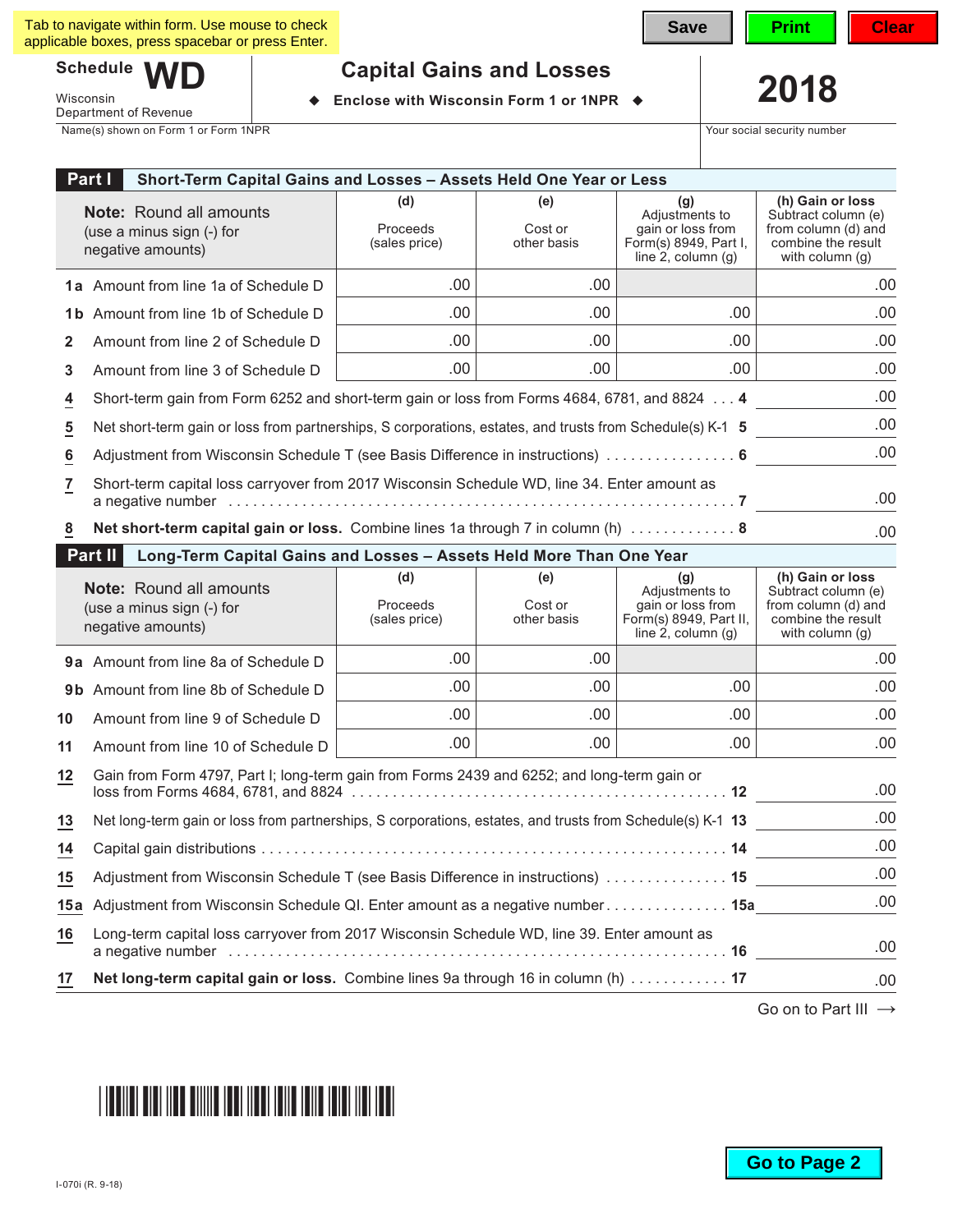$Schedule$ 

Department of Revenue

Wisconsin

# **Capital Gains and Losses**<br>Enclose with Wisconsin Form 1 or 1NPR  $\rightarrow$  2018

◆ Enclose with Wisconsin Form 1 or 1NPR ◆

Name(s) shown on Form 1 or Form 1NPR The Security number of the Security number of the Security number of the Security number

| Part I<br>Short-Term Capital Gains and Losses - Assets Held One Year or Less |                                                                                                                  |                                         |                               |                                                                                                |                                                                                                         |  |  |
|------------------------------------------------------------------------------|------------------------------------------------------------------------------------------------------------------|-----------------------------------------|-------------------------------|------------------------------------------------------------------------------------------------|---------------------------------------------------------------------------------------------------------|--|--|
|                                                                              | <b>Note:</b> Round all amounts<br>(use a minus sign (-) for<br>negative amounts)                                 | (d)<br><b>Proceeds</b><br>(sales price) | (e)<br>Cost or<br>other basis | (g)<br>Adjustments to<br>gain or loss from<br>Form(s) 8949, Part I,<br>line $2$ , column $(g)$ | (h) Gain or loss<br>Subtract column (e)<br>from column (d) and<br>combine the result<br>with column (g) |  |  |
|                                                                              | 1a Amount from line 1a of Schedule D                                                                             | .00.                                    | .00                           |                                                                                                | .00                                                                                                     |  |  |
|                                                                              | 1b Amount from line 1b of Schedule D                                                                             | .00                                     | .00.                          | .00.                                                                                           | .00                                                                                                     |  |  |
| 2                                                                            | Amount from line 2 of Schedule D                                                                                 | .00                                     | .00.                          | .00.                                                                                           | .00                                                                                                     |  |  |
| 3                                                                            | Amount from line 3 of Schedule D                                                                                 | .00                                     | .00.                          | .00.                                                                                           | .00                                                                                                     |  |  |
| $\overline{4}$                                                               | .00<br>Short-term gain from Form 6252 and short-term gain or loss from Forms 4684, 6781, and 8824 4              |                                         |                               |                                                                                                |                                                                                                         |  |  |
| $\overline{5}$                                                               | .00<br>Net short-term gain or loss from partnerships, S corporations, estates, and trusts from Schedule(s) K-1 5 |                                         |                               |                                                                                                |                                                                                                         |  |  |
| $\underline{6}$                                                              | .00<br>Adjustment from Wisconsin Schedule T (see Basis Difference in instructions)  6                            |                                         |                               |                                                                                                |                                                                                                         |  |  |
| $\overline{1}$                                                               | Short-term capital loss carryover from 2017 Wisconsin Schedule WD, line 34. Enter amount as<br>.00               |                                         |                               |                                                                                                |                                                                                                         |  |  |
| 8                                                                            | Net short-term capital gain or loss. Combine lines 1a through 7 in column (h)  8                                 |                                         |                               |                                                                                                | .00                                                                                                     |  |  |
|                                                                              | Part II<br>Long-Term Capital Gains and Losses - Assets Held More Than One Year                                   |                                         |                               |                                                                                                |                                                                                                         |  |  |
|                                                                              | <b>Note:</b> Round all amounts<br>(use a minus sign (-) for<br>negative amounts)                                 | (d)<br>Proceeds<br>(sales price)        | (e)<br>Cost or<br>other basis | (g)<br>Adjustments to<br>gain or loss from<br>Form(s) 8949, Part II,<br>line 2, column $(g)$   | (h) Gain or loss<br>Subtract column (e)<br>from column (d) and<br>combine the result<br>with column (g) |  |  |
|                                                                              | 9a Amount from line 8a of Schedule D                                                                             | .00.                                    | .00.                          |                                                                                                | .00                                                                                                     |  |  |
|                                                                              | 9b Amount from line 8b of Schedule D                                                                             | .00.                                    | .00.                          | .00.                                                                                           | .00                                                                                                     |  |  |
| 10                                                                           | Amount from line 9 of Schedule D                                                                                 | .00.                                    | .00.                          | .00.                                                                                           | .00                                                                                                     |  |  |
| 11                                                                           | Amount from line 10 of Schedule D                                                                                | .00.                                    | .00.                          | .00.                                                                                           | .00                                                                                                     |  |  |
| 12                                                                           | Gain from Form 4797, Part I; long-term gain from Forms 2439 and 6252; and long-term gain or                      |                                         |                               |                                                                                                | .00                                                                                                     |  |  |
| 13                                                                           | Net long-term gain or loss from partnerships, S corporations, estates, and trusts from Schedule(s) K-1 13        |                                         |                               |                                                                                                | .00                                                                                                     |  |  |
| $\overline{14}$                                                              |                                                                                                                  |                                         |                               |                                                                                                | .00                                                                                                     |  |  |
| 15                                                                           | Adjustment from Wisconsin Schedule T (see Basis Difference in instructions)  15                                  |                                         |                               |                                                                                                | .00                                                                                                     |  |  |
| 15a                                                                          | Adjustment from Wisconsin Schedule QI. Enter amount as a negative number. 15a                                    |                                         |                               |                                                                                                | .00                                                                                                     |  |  |
| 16                                                                           | Long-term capital loss carryover from 2017 Wisconsin Schedule WD, line 39. Enter amount as<br>.00                |                                         |                               |                                                                                                |                                                                                                         |  |  |
| 17                                                                           | Net long-term capital gain or loss. Combine lines 9a through 16 in column (h)  17                                |                                         |                               |                                                                                                | .00                                                                                                     |  |  |

Go on to Part III →

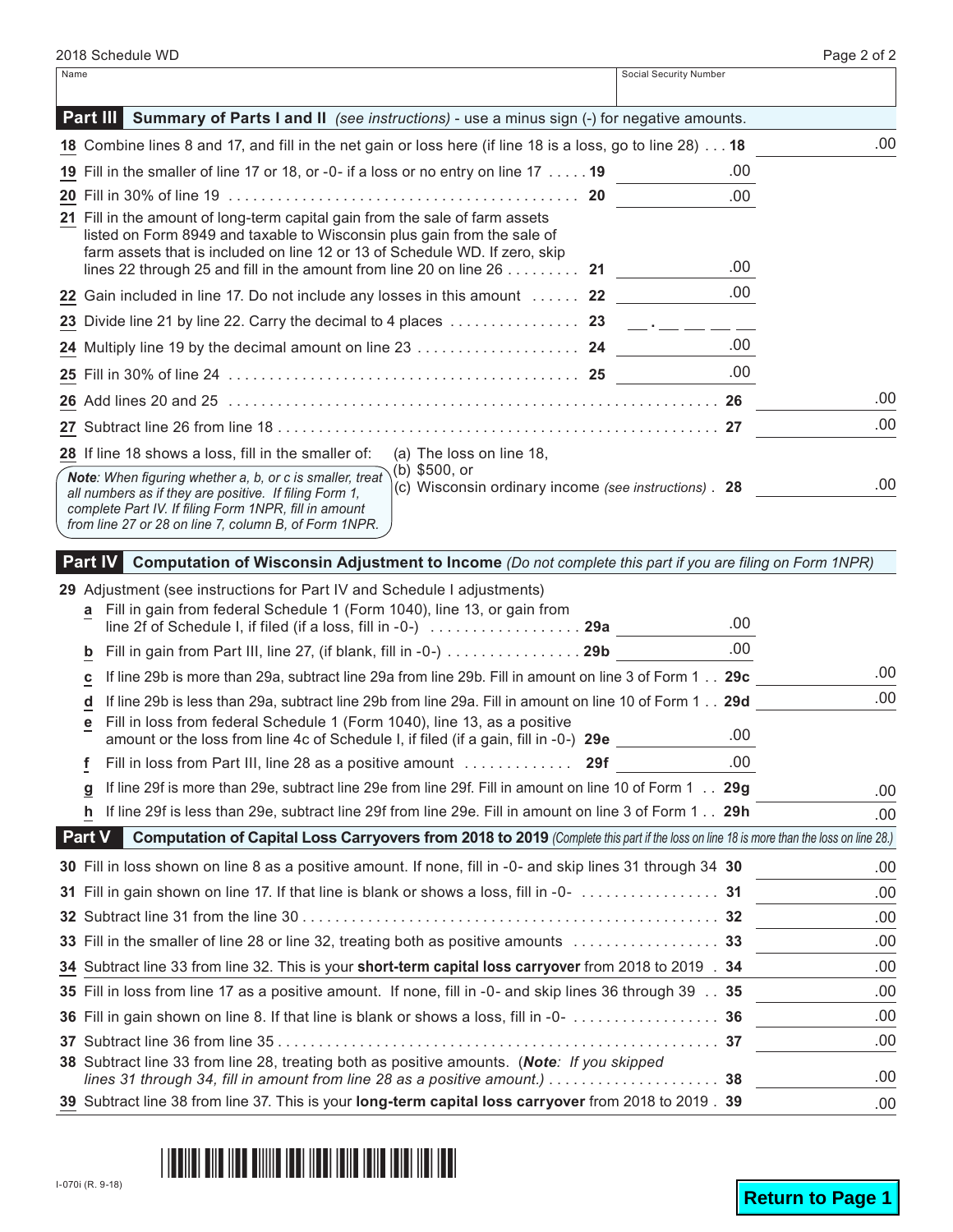|      |                                                                                                                                                                                                                                                                                                                               |                        | $1$ ugu $2$ ul |
|------|-------------------------------------------------------------------------------------------------------------------------------------------------------------------------------------------------------------------------------------------------------------------------------------------------------------------------------|------------------------|----------------|
| Name |                                                                                                                                                                                                                                                                                                                               | Social Security Number |                |
|      | <b>Part III</b> Summary of Parts I and II (see instructions) - use a minus sign (-) for negative amounts.                                                                                                                                                                                                                     |                        |                |
|      | 18 Combine lines 8 and 17, and fill in the net gain or loss here (if line 18 is a loss, go to line 28) 18                                                                                                                                                                                                                     |                        | .00            |
|      | 19 Fill in the smaller of line 17 or 18, or -0- if a loss or no entry on line 17 19                                                                                                                                                                                                                                           | .00                    |                |
|      |                                                                                                                                                                                                                                                                                                                               | .00                    |                |
|      | 21 Fill in the amount of long-term capital gain from the sale of farm assets<br>listed on Form 8949 and taxable to Wisconsin plus gain from the sale of<br>farm assets that is included on line 12 or 13 of Schedule WD. If zero, skip<br>lines 22 through 25 and fill in the amount from line 20 on line 26 $\dots \dots$ 21 | .00                    |                |
|      | 22 Gain included in line 17. Do not include any losses in this amount  22                                                                                                                                                                                                                                                     | .00.                   |                |
|      |                                                                                                                                                                                                                                                                                                                               |                        |                |
|      |                                                                                                                                                                                                                                                                                                                               | .00.                   |                |
|      |                                                                                                                                                                                                                                                                                                                               | .00                    |                |
|      |                                                                                                                                                                                                                                                                                                                               |                        | .00            |
|      |                                                                                                                                                                                                                                                                                                                               |                        | .00            |
|      | <b>28</b> If line 18 shows a loss, fill in the smaller of:<br>(a) The loss on line 18,                                                                                                                                                                                                                                        |                        |                |
|      | (b) $$500, or$<br>Note: When figuring whether a, b, or c is smaller, treat<br>(c) Wisconsin ordinary income (see instructions) . 28<br>all numbers as if they are positive. If filing Form 1,<br>complete Part IV. If filing Form 1NPR, fill in amount<br>from line 27 or 28 on line 7, column B, of Form 1NPR.               |                        | .00            |

## **Part IV Computation of Wisconsin Adjustment to Income** *(Do not complete this part if you are filing on Form 1NPR)*

|               | 29 Adjustment (see instructions for Part IV and Schedule I adjustments)                                                                                                                                       |      |      |
|---------------|---------------------------------------------------------------------------------------------------------------------------------------------------------------------------------------------------------------|------|------|
| a             | Fill in gain from federal Schedule 1 (Form 1040), line 13, or gain from<br>line 2f of Schedule I, if filed (if a loss, fill in -0-) $\,\ldots\ldots\ldots\ldots\ldots\ldots\,$ 29a $\,$                       | .00. |      |
| b             | Fill in gain from Part III, line 27, (if blank, fill in -0-) 29b                                                                                                                                              | .00. |      |
| c             | If line 29b is more than 29a, subtract line 29a from line 29b. Fill in amount on line 3 of Form 1 29c                                                                                                         |      | .00  |
| d             | If line 29b is less than 29a, subtract line 29b from line 29a. Fill in amount on line 10 of Form 1 29d                                                                                                        |      | .00  |
| е             | Fill in loss from federal Schedule 1 (Form 1040), line 13, as a positive<br>amount or the loss from line 4c of Schedule I, if filed (if a gain, fill in -0-) 29e                                              | .00  |      |
| f             | Fill in loss from Part III, line 28 as a positive amount  29f                                                                                                                                                 | .00  |      |
| g             | If line 29f is more than 29e, subtract line 29e from line 29f. Fill in amount on line 10 of Form 1 29g                                                                                                        |      | .00  |
| h.            | If line 29f is less than 29e, subtract line 29f from line 29e. Fill in amount on line 3 of Form 1 29h                                                                                                         |      | .00  |
| <b>Part V</b> | Computation of Capital Loss Carryovers from 2018 to 2019 (Complete this part if the loss on line 18 is more than the loss on line 28.)                                                                        |      |      |
|               | 30 Fill in loss shown on line 8 as a positive amount. If none, fill in -0- and skip lines 31 through 34 30                                                                                                    |      | .00  |
|               |                                                                                                                                                                                                               |      | .00  |
|               |                                                                                                                                                                                                               |      | .00  |
|               |                                                                                                                                                                                                               |      | .00  |
|               | 34 Subtract line 33 from line 32. This is your short-term capital loss carryover from 2018 to 2019 . 34                                                                                                       |      | .00  |
|               | 35 Fill in loss from line 17 as a positive amount. If none, fill in -0- and skip lines 36 through 39 35                                                                                                       |      | .00. |
|               |                                                                                                                                                                                                               |      | .00. |
|               |                                                                                                                                                                                                               |      | .00. |
|               | 38 Subtract line 33 from line 28, treating both as positive amounts. (Note: If you skipped<br>lines 31 through 34, fill in amount from line 28 as a positive amount.) $\ldots \ldots \ldots \ldots \ldots$ 38 |      | .00  |
|               | 39 Subtract line 38 from line 37. This is your long-term capital loss carryover from 2018 to 2019 . 39                                                                                                        |      | .00  |

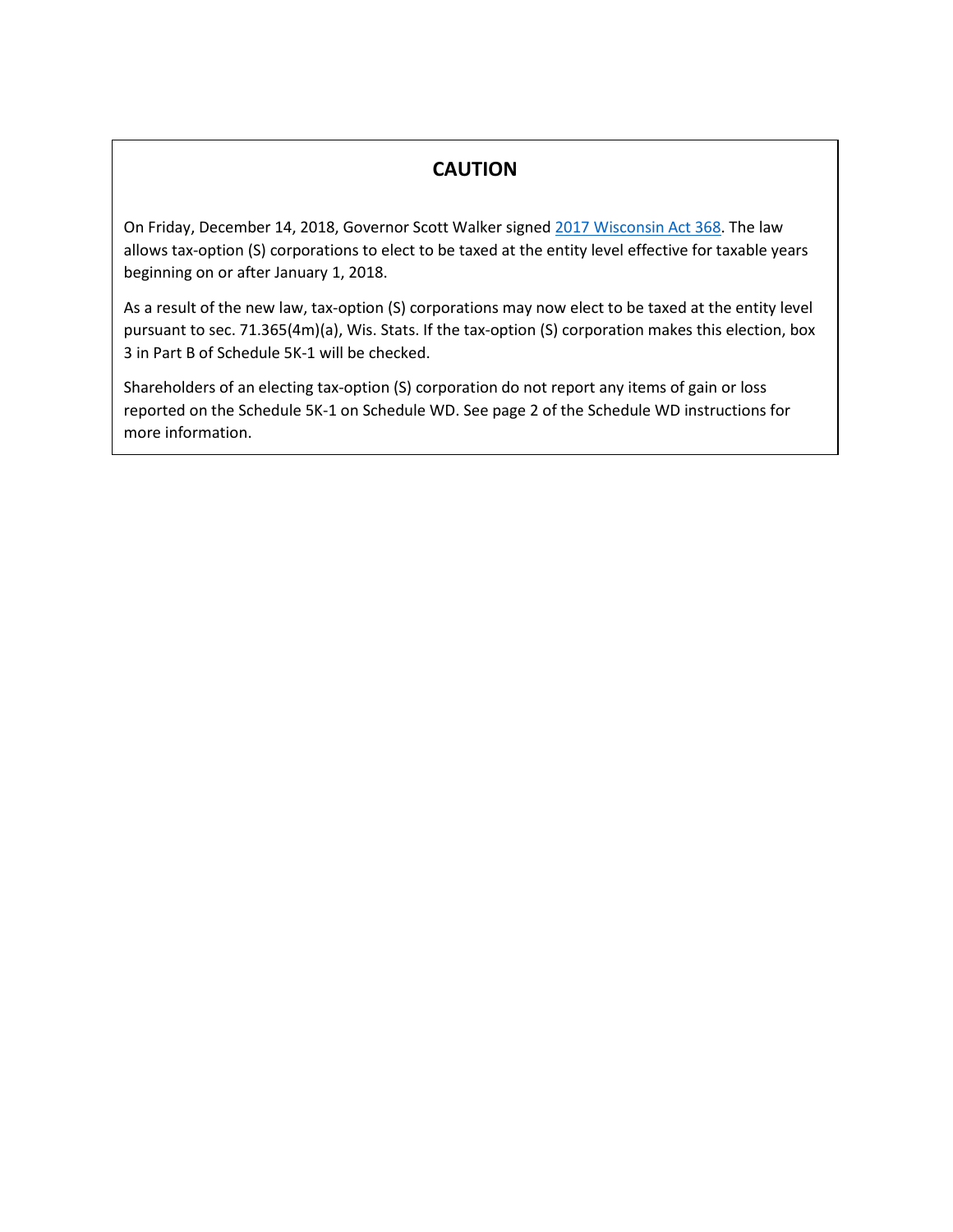# **CAUTION**

On Friday, December 14, 2018, Governor Scott Walker signe[d 2017 Wisconsin Act 368.](https://docs.legis.wisconsin.gov/2017/related/acts/368.pdf) The law allows tax-option (S) corporations to elect to be taxed at the entity level effective for taxable years beginning on or after January 1, 2018.

As a result of the new law, tax-option (S) corporations may now elect to be taxed at the entity level pursuant to sec. 71.365(4m)(a), Wis. Stats. If the tax-option (S) corporation makes this election, box 3 in Part B of Schedule 5K-1 will be checked.

Shareholders of an electing tax-option (S) corporation do not report any items of gain or loss reported on the Schedule 5K-1 on Schedule WD. See page 2 of the Schedule WD instructions for more information.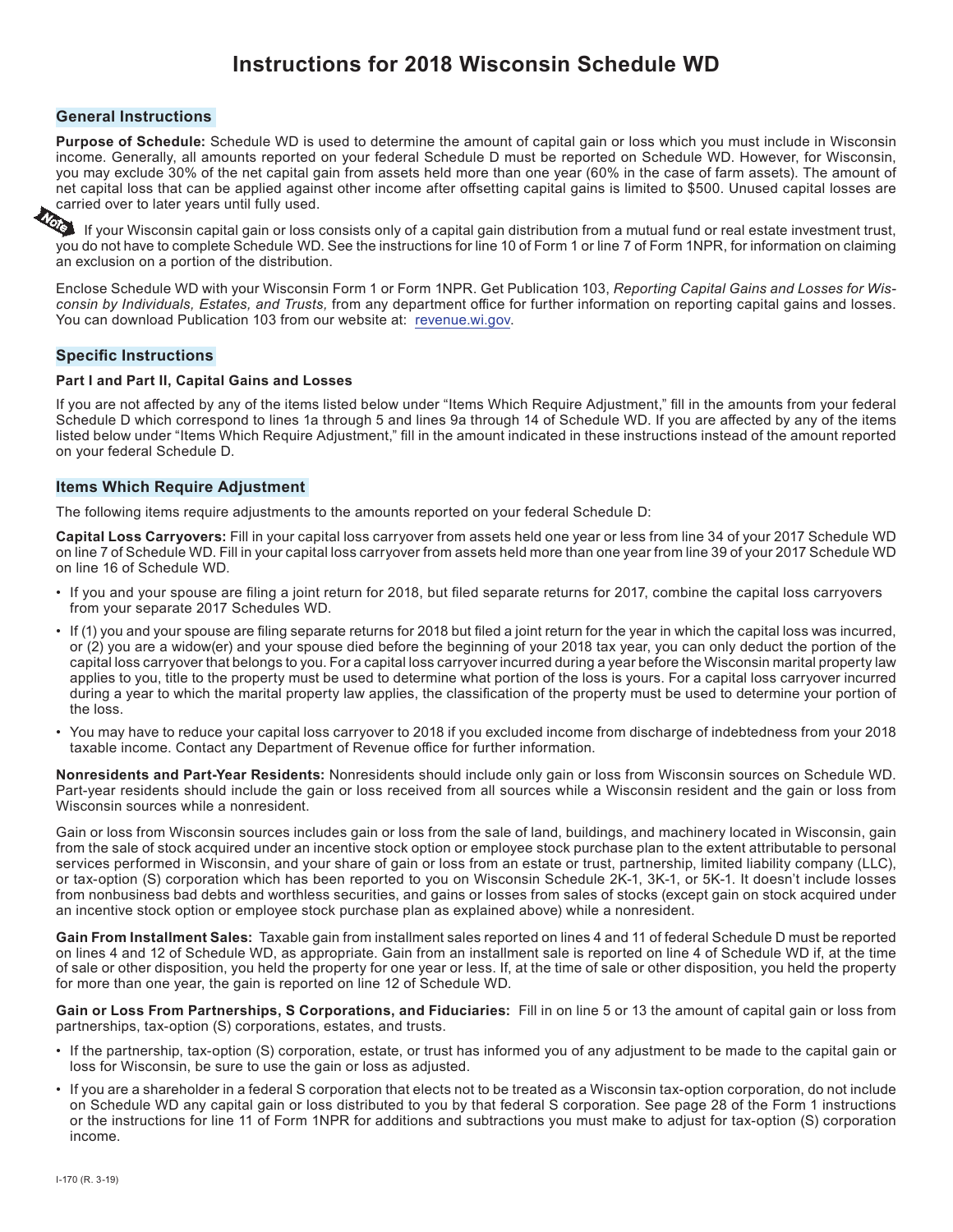# **Instructions for 2018 Wisconsin Schedule WD**

#### **General Instructions**

**Purpose of Schedule:** Schedule WD is used to determine the amount of capital gain or loss which you must include in Wisconsin income. Generally, all amounts reported on your federal Schedule D must be reported on Schedule WD. However, for Wisconsin, you may exclude 30% of the net capital gain from assets held more than one year (60% in the case of farm assets). The amount of net capital loss that can be applied against other income after offsetting capital gains is limited to \$500. Unused capital losses are

carried over to later years until fully used. If your Wisconsin capital gain or loss consists only of a capital gain distribution from a mutual fund or real estate investment trust, you do not have to complete Schedule WD. See the instructions for line 10 of Form 1 or line 7 of Form 1NPR, for information on claiming an exclusion on a portion of the distribution.

Enclose Schedule WD with your Wisconsin Form 1 or Form 1NPR. Get Publication 103, *Reporting Capital Gains and Losses for Wisconsin by Individuals, Estates, and Trusts,* from any department office for further information on reporting capital gains and losses. You can download Publication 103 from our website at: [revenue.wi.gov.](https://www.revenue.wi.gov)

#### **Specific Instructions**

#### **Part I and Part II, Capital Gains and Losses**

If you are not affected by any of the items listed below under "Items Which Require Adjustment," fill in the amounts from your federal Schedule D which correspond to lines 1a through 5 and lines 9a through 14 of Schedule WD. If you are affected by any of the items listed below under "Items Which Require Adjustment," fill in the amount indicated in these instructions instead of the amount reported on your federal Schedule D.

#### **Items Which Require Adjustment**

The following items require adjustments to the amounts reported on your federal Schedule D:

**Capital Loss Carryovers:** Fill in your capital loss carryover from assets held one year or less from line 34 of your 2017 Schedule WD on line 7 of Schedule WD. Fill in your capital loss carryover from assets held more than one year from line 39 of your 2017 Schedule WD on line 16 of Schedule WD.

- If you and your spouse are filing a joint return for 2018, but filed separate returns for 2017, combine the capital loss carryovers from your separate 2017 Schedules WD.
- If (1) you and your spouse are filing separate returns for 2018 but filed a joint return for the year in which the capital loss was incurred, or (2) you are a widow(er) and your spouse died before the beginning of your 2018 tax year, you can only deduct the portion of the capital loss carryover that belongs to you. For a capital loss carryover incurred during a year before the Wisconsin marital property law applies to you, title to the property must be used to determine what portion of the loss is yours. For a capital loss carryover incurred during a year to which the marital property law applies, the classification of the property must be used to determine your portion of the loss.
- You may have to reduce your capital loss carryover to 2018 if you excluded income from discharge of indebtedness from your 2018 taxable income. Contact any Department of Revenue office for further information.

**Nonresidents and Part-Year Residents:** Nonresidents should include only gain or loss from Wisconsin sources on Schedule WD. Part-year residents should include the gain or loss received from all sources while a Wisconsin resident and the gain or loss from Wisconsin sources while a nonresident.

Gain or loss from Wisconsin sources includes gain or loss from the sale of land, buildings, and machinery located in Wisconsin, gain from the sale of stock acquired under an incentive stock option or employee stock purchase plan to the extent attributable to personal services performed in Wisconsin, and your share of gain or loss from an estate or trust, partnership, limited liability company (LLC), or tax-option (S) corporation which has been reported to you on Wisconsin Schedule 2K‑1, 3K-1, or 5K‑1. It doesn't include losses from nonbusiness bad debts and worthless securities, and gains or losses from sales of stocks (except gain on stock acquired under an incentive stock option or employee stock purchase plan as explained above) while a nonresident.

**Gain From Installment Sales:** Taxable gain from installment sales reported on lines 4 and 11 of federal Schedule D must be reported on lines 4 and 12 of Schedule WD, as appropriate. Gain from an installment sale is reported on line 4 of Schedule WD if, at the time of sale or other disposition, you held the property for one year or less. If, at the time of sale or other disposition, you held the property for more than one year, the gain is reported on line 12 of Schedule WD.

**Gain or Loss From Partnerships, S Corporations, and Fiduciaries:** Fill in on line 5 or 13 the amount of capital gain or loss from partnerships, tax-option (S) corporations, estates, and trusts.

- If the partnership, tax-option (S) corporation, estate, or trust has informed you of any adjustment to be made to the capital gain or loss for Wisconsin, be sure to use the gain or loss as adjusted.
- If you are a shareholder in a federal S corporation that elects not to be treated as a Wisconsin tax-option corporation, do not include on Schedule WD any capital gain or loss distributed to you by that federal S corporation. See page 28 of the Form 1 instructions or the instructions for line 11 of Form 1NPR for additions and subtractions you must make to adjust for tax-option (S) corporation income.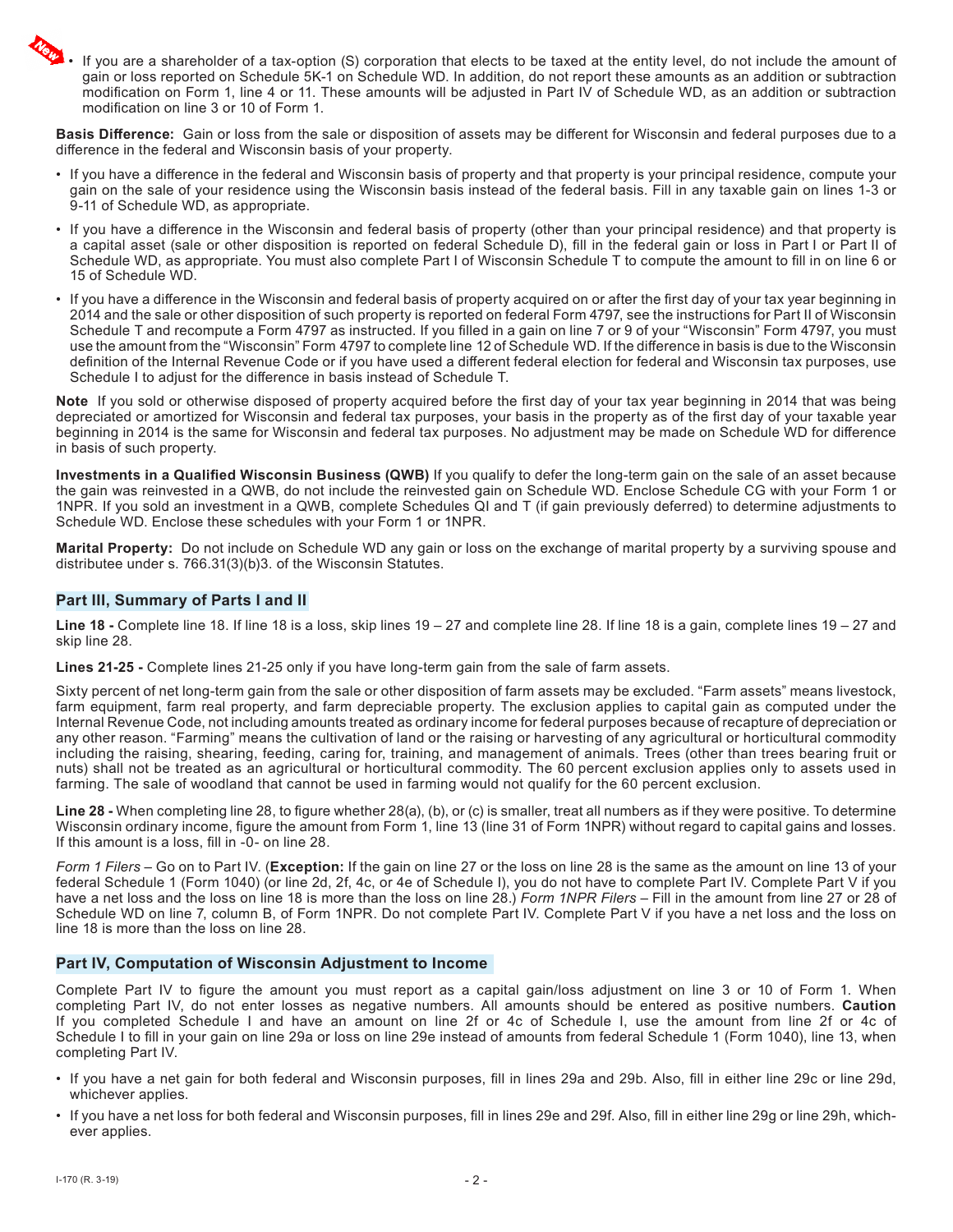• If you are a shareholder of a tax-option (S) corporation that elects to be taxed at the entity level, do not include the amount of gain or loss reported on Schedule 5K-1 on Schedule WD. In addition, do not report these amounts as an addition or subtraction modification on Form 1, line 4 or 11. These amounts will be adjusted in Part IV of Schedule WD, as an addition or subtraction modification on line 3 or 10 of Form 1.

**Basis Difference:** Gain or loss from the sale or disposition of assets may be different for Wisconsin and federal purposes due to a difference in the federal and Wisconsin basis of your property.

- If you have a difference in the federal and Wisconsin basis of property and that property is your principal residence, compute your gain on the sale of your residence using the Wisconsin basis instead of the federal basis. Fill in any taxable gain on lines 1-3 or 9-11 of Schedule WD, as appropriate.
- If you have a difference in the Wisconsin and federal basis of property (other than your principal residence) and that property is a capital asset (sale or other disposition is reported on federal Schedule D), fill in the federal gain or loss in Part I or Part II of Schedule WD, as appropriate. You must also complete Part I of Wisconsin Schedule T to compute the amount to fill in on line 6 or 15 of Schedule WD.
- If you have a difference in the Wisconsin and federal basis of property acquired on or after the first day of your tax year beginning in 2014 and the sale or other disposition of such property is reported on federal Form 4797, see the instructions for Part II of Wisconsin Schedule T and recompute a Form 4797 as instructed. If you filled in a gain on line 7 or 9 of your "Wisconsin" Form 4797, you must use the amount from the "Wisconsin" Form 4797 to complete line 12 of Schedule WD. If the difference in basis is due to the Wisconsin definition of the Internal Revenue Code or if you have used a different federal election for federal and Wisconsin tax purposes, use Schedule I to adjust for the difference in basis instead of Schedule T.

**Note** If you sold or otherwise disposed of property acquired before the first day of your tax year beginning in 2014 that was being depreciated or amortized for Wisconsin and federal tax purposes, your basis in the property as of the first day of your taxable year beginning in 2014 is the same for Wisconsin and federal tax purposes. No adjustment may be made on Schedule WD for difference in basis of such property.

**Investments in a Qualified Wisconsin Business (QWB)** If you qualify to defer the long-term gain on the sale of an asset because the gain was reinvested in a QWB, do not include the reinvested gain on Schedule WD. Enclose Schedule CG with your Form 1 or 1NPR. If you sold an investment in a QWB, complete Schedules QI and T (if gain previously deferred) to determine adjustments to Schedule WD. Enclose these schedules with your Form 1 or 1NPR.

**Marital Property:** Do not include on Schedule WD any gain or loss on the exchange of marital property by a surviving spouse and distributee under s. 766.31(3)(b)3. of the Wisconsin Statutes.

### **Part III, Summary of Parts I and II**

**Line 18 -** Complete line 18. If line 18 is a loss, skip lines 19 – 27 and complete line 28. If line 18 is a gain, complete lines 19 – 27 and skip line 28.

**Lines 21-25 -** Complete lines 21-25 only if you have long-term gain from the sale of farm assets.

Sixty percent of net long-term gain from the sale or other disposition of farm assets may be excluded. "Farm assets" means livestock, farm equipment, farm real property, and farm depreciable property. The exclusion applies to capital gain as computed under the Internal Revenue Code, not including amounts treated as ordinary income for federal purposes because of recapture of depreciation or any other reason. "Farming" means the cultivation of land or the raising or harvesting of any agricultural or horticultural commodity including the raising, shearing, feeding, caring for, training, and management of animals. Trees (other than trees bearing fruit or nuts) shall not be treated as an agricultural or horticultural commodity. The 60 percent exclusion applies only to assets used in farming. The sale of woodland that cannot be used in farming would not qualify for the 60 percent exclusion.

**Line 28 -** When completing line 28, to figure whether 28(a), (b), or (c) is smaller, treat all numbers as if they were positive. To determine Wisconsin ordinary income, figure the amount from Form 1, line 13 (line 31 of Form 1NPR) without regard to capital gains and losses. If this amount is a loss, fill in -0- on line 28.

*Form 1 Filers* – Go on to Part IV. (**Exception:** If the gain on line 27 or the loss on line 28 is the same as the amount on line 13 of your federal Schedule 1 (Form 1040) (or line 2d, 2f, 4c, or 4e of Schedule I), you do not have to complete Part IV. Complete Part V if you have a net loss and the loss on line 18 is more than the loss on line 28.) *Form 1NPR Filers* – Fill in the amount from line 27 or 28 of Schedule WD on line 7, column B, of Form 1NPR. Do not complete Part IV. Complete Part V if you have a net loss and the loss on line 18 is more than the loss on line 28.

#### **Part IV, Computation of Wisconsin Adjustment to Income**

Complete Part IV to figure the amount you must report as a capital gain/loss adjustment on line 3 or 10 of Form 1. When completing Part IV, do not enter losses as negative numbers. All amounts should be entered as positive numbers. **Caution** If you completed Schedule I and have an amount on line 2f or 4c of Schedule I, use the amount from line 2f or 4c of Schedule I to fill in your gain on line 29a or loss on line 29e instead of amounts from federal Schedule 1 (Form 1040), line 13, when completing Part IV.

- If you have a net gain for both federal and Wisconsin purposes, fill in lines 29a and 29b. Also, fill in either line 29c or line 29d, whichever applies.
- If you have a net loss for both federal and Wisconsin purposes, fill in lines 29e and 29f. Also, fill in either line 29g or line 29h, whichever applies.